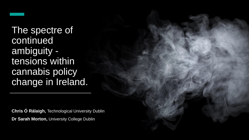

The spectre of continued ambiguity tensions within cannabis policy change in Ireland.

**Chris Ó Rálaigh,** Technological University Dublin **Dr Sarah Morton, University College Dublin**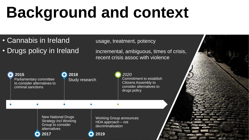### **Background and context**

- Cannabis in Ireland usage, treatment, potency
- Drugs policy in Ireland incremental, ambiguous, times of crisis,

recent crisis assoc with violence

| 2015<br>Parliamentary committee<br>to consider alternatives to<br>criminal sanctions |                                                                                                        | 2018<br>Study research |                                                                                       | 2020<br>Commitment to establish<br><b>Citizens Assembly to</b><br>consider alternatives to<br>drugs policy |  |
|--------------------------------------------------------------------------------------|--------------------------------------------------------------------------------------------------------|------------------------|---------------------------------------------------------------------------------------|------------------------------------------------------------------------------------------------------------|--|
|                                                                                      |                                                                                                        |                        |                                                                                       |                                                                                                            |  |
|                                                                                      | <b>New National Drugs</b><br><b>Strategy incl Working</b><br>Group to consider<br>alternatives<br>2017 |                        | <b>Working Group announces</b><br>$HDA$ approach $-$ not<br>decriminalisation<br>2019 |                                                                                                            |  |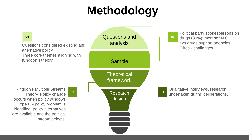### **Methodology**

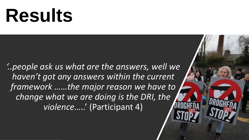## **Results**

*'..people ask us what are the answers, well we haven't got any answers within the current framework ……the major reason we have to change what we are doing is the DRI, the violence*…..' (Participant 4)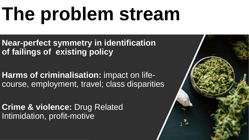# **The problem stream**

**Near-perfect symmetry in identification of failings of existing policy**

**Harms of criminalisation:** impact on lifecourse, employment, travel; class disparities

**Crime & violence:** Drug Related Intimidation, profit-motive

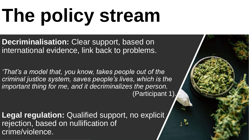# **The policy stream**

**Decriminalisation:** Clear support, based on international evidence, link back to problems.

*'That's a model that, you know, takes people out of the criminal justice system, saves people's lives, which is the important thing for me, and it decriminalizes the person.*  (Participant 1).

**Legal regulation: Qualified support, no explicit,** rejection, based on nullification of crime/violence.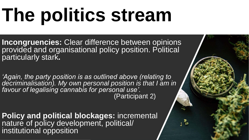# **The politics stream**

**Incongruencies:** Clear difference between opinions provided and organisational policy position. Political particularly stark**.**

*'Again, the party position is as outlined above (relating to decriminalisation). My own personal position is that I am in favour of legalising cannabis for personal use'.*  (Participant 2)

**Policy and political blockages:** incremental nature of policy development, political/ institutional opposition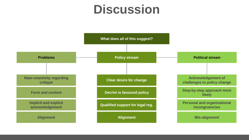### **Discussion**